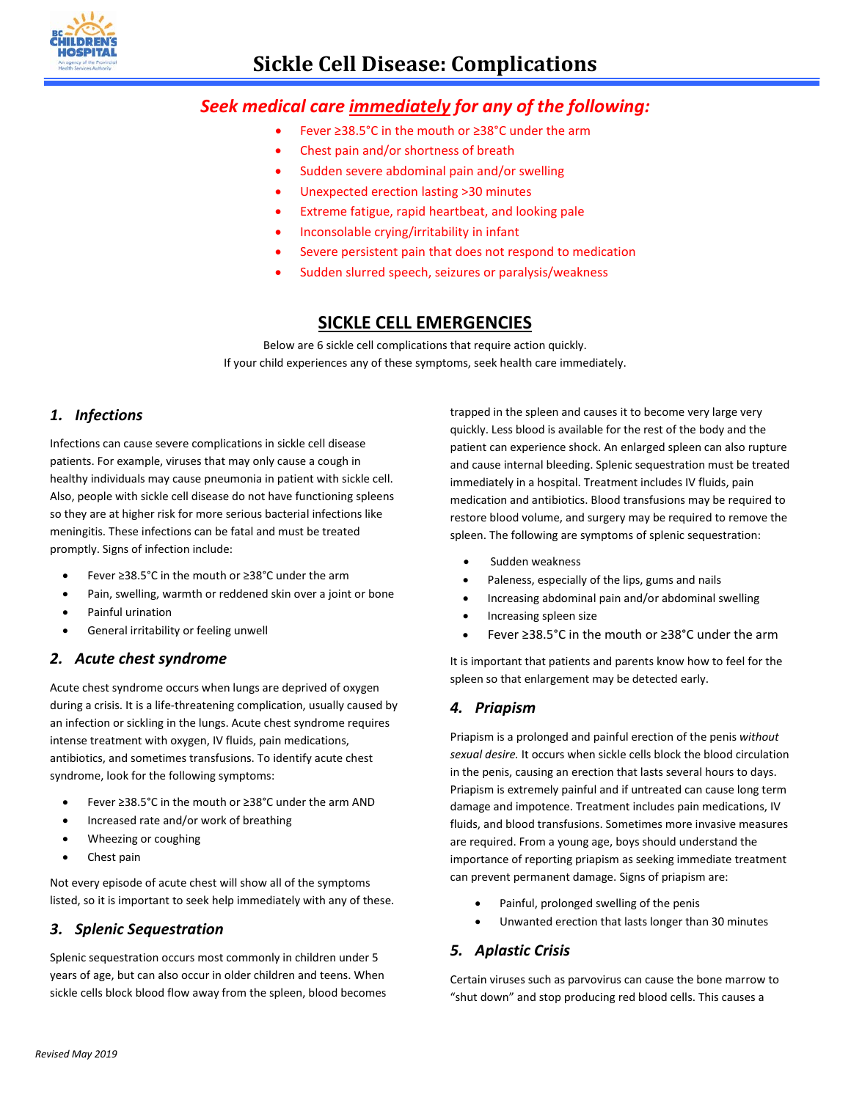

# *Seek medical care immediately for any of the following:*

- Fever ≥38.5°C in the mouth or ≥38°C under the arm
- Chest pain and/or shortness of breath
- Sudden severe abdominal pain and/or swelling
- Unexpected erection lasting >30 minutes
- Extreme fatigue, rapid heartbeat, and looking pale
- Inconsolable crying/irritability in infant
- Severe persistent pain that does not respond to medication
- Sudden slurred speech, seizures or paralysis/weakness

# **SICKLE CELL EMERGENCIES**

Below are 6 sickle cell complications that require action quickly. If your child experiences any of these symptoms, seek health care immediately.

#### *1. Infections*

Infections can cause severe complications in sickle cell disease patients. For example, viruses that may only cause a cough in healthy individuals may cause pneumonia in patient with sickle cell. Also, people with sickle cell disease do not have functioning spleens so they are at higher risk for more serious bacterial infections like meningitis. These infections can be fatal and must be treated promptly. Signs of infection include:

- Fever ≥38.5°C in the mouth or ≥38°C under the arm
- Pain, swelling, warmth or reddened skin over a joint or bone
- Painful urination
- General irritability or feeling unwell

#### *2. Acute chest syndrome*

Acute chest syndrome occurs when lungs are deprived of oxygen during a crisis. It is a life-threatening complication, usually caused by an infection or sickling in the lungs. Acute chest syndrome requires intense treatment with oxygen, IV fluids, pain medications, antibiotics, and sometimes transfusions. To identify acute chest syndrome, look for the following symptoms:

- Fever ≥38.5°C in the mouth or ≥38°C under the arm AND
- Increased rate and/or work of breathing
- Wheezing or coughing
- Chest pain

Not every episode of acute chest will show all of the symptoms listed, so it is important to seek help immediately with any of these.

## *3. Splenic Sequestration*

Splenic sequestration occurs most commonly in children under 5 years of age, but can also occur in older children and teens. When sickle cells block blood flow away from the spleen, blood becomes trapped in the spleen and causes it to become very large very quickly. Less blood is available for the rest of the body and the patient can experience shock. An enlarged spleen can also rupture and cause internal bleeding. Splenic sequestration must be treated immediately in a hospital. Treatment includes IV fluids, pain medication and antibiotics. Blood transfusions may be required to restore blood volume, and surgery may be required to remove the spleen. The following are symptoms of splenic sequestration:

- Sudden weakness
- Paleness, especially of the lips, gums and nails
- Increasing abdominal pain and/or abdominal swelling
- Increasing spleen size
- Fever ≥38.5°C in the mouth or ≥38°C under the arm

It is important that patients and parents know how to feel for the spleen so that enlargement may be detected early.

#### *4. Priapism*

Priapism is a prolonged and painful erection of the penis *without sexual desire.* It occurs when sickle cells block the blood circulation in the penis, causing an erection that lasts several hours to days. Priapism is extremely painful and if untreated can cause long term damage and impotence. Treatment includes pain medications, IV fluids, and blood transfusions. Sometimes more invasive measures are required. From a young age, boys should understand the importance of reporting priapism as seeking immediate treatment can prevent permanent damage. Signs of priapism are:

- Painful, prolonged swelling of the penis
- Unwanted erection that lasts longer than 30 minutes

## *5. Aplastic Crisis*

Certain viruses such as parvovirus can cause the bone marrow to "shut down" and stop producing red blood cells. This causes a